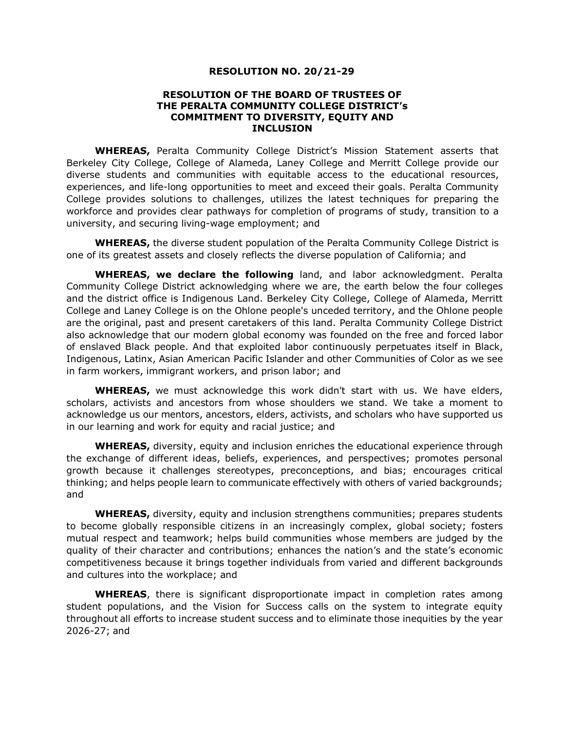## **RESOLUTION NO. 20/21-29**

## **RESOLUTION OF THE BOARD OF TRUSTEES OF THE PERALTA COMMUNITY COLLEGE DISTRICT's COMMITMENT TO DIVERSITY, EQUITY AND INCLUSION**

**WHEREAS,** Peralta Community College District's Mission Statement asserts that Berkeley City College, College of Alameda, Laney College and Merritt College provide our diverse students and communities with equitable access to the educational resources, experiences, and life-long opportunities to meet and exceed their goals. Peralta Community College provides solutions to challenges, utilizes the latest techniques for preparing the workforce and provides clear pathways for completion of programs of study, transition to a university, and securing living-wage employment; and

**WHEREAS,** the diverse student population of the Peralta Community College District is one of its greatest assets and closely reflects the diverse population of California; and

**WHEREAS, we declare the following** land, and labor acknowledgment. Peralta Community College District acknowledging where we are, the earth below the four colleges and the district office is Indigenous Land. Berkeley City College, College of Alameda, Merritt College and Laney College is on the Ohlone people's unceded territory, and the Ohlone people are the original, past and present caretakers of this land. Peralta Community College District also acknowledge that our modern global economy was founded on the free and forced labor of enslaved Black people. And that exploited labor continuously perpetuates itself in Black, Indigenous, Latinx, Asian American Pacific Islander and other Communities of Color as we see in farm workers, immigrant workers, and prison labor; and

**WHEREAS,** we must acknowledge this work didn't start with us. We have elders, scholars, activists and ancestors from whose shoulders we stand. We take a moment to acknowledge us our mentors, ancestors, elders, activists, and scholars who have supported us in our learning and work for equity and racial justice; and

**WHEREAS,** diversity, equity and inclusion enriches the educational experience through the exchange of different ideas, beliefs, experiences, and perspectives; promotes personal growth because it challenges stereotypes, preconceptions, and bias; encourages critical thinking; and helps people learn to communicate effectively with others of varied backgrounds; and

**WHEREAS,** diversity, equity and inclusion strengthens communities; prepares students to become globally responsible citizens in an increasingly complex, global society; fosters mutual respect and teamwork; helps build communities whose members are judged by the quality of their character and contributions; enhances the nation's and the state's economic competitiveness because it brings together individuals from varied and different backgrounds and cultures into the workplace; and

**WHEREAS**, there is significant disproportionate impact in completion rates among student populations, and the Vision for Success calls on the system to integrate equity throughout all efforts to increase student success and to eliminate those inequities by the year 2026-27; and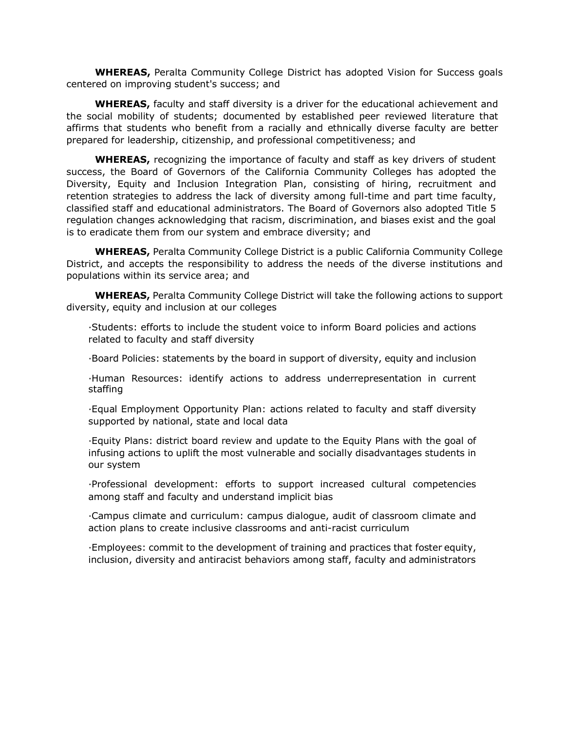**WHEREAS,** Peralta Community College District has adopted Vision for Success goals centered on improving student's success; and

**WHEREAS,** faculty and staff diversity is a driver for the educational achievement and the social mobility of students; documented by established peer reviewed literature that affirms that students who benefit from a racially and ethnically diverse faculty are better prepared for leadership, citizenship, and professional competitiveness; and

**WHEREAS,** recognizing the importance of faculty and staff as key drivers of student success, the Board of Governors of the California Community Colleges has adopted the Diversity, Equity and Inclusion Integration Plan, consisting of hiring, recruitment and retention strategies to address the lack of diversity among full-time and part time faculty, classified staff and educational administrators. The Board of Governors also adopted Title 5 regulation changes acknowledging that racism, discrimination, and biases exist and the goal is to eradicate them from our system and embrace diversity; and

**WHEREAS,** Peralta Community College District is a public California Community College District, and accepts the responsibility to address the needs of the diverse institutions and populations within its service area; and

**WHEREAS,** Peralta Community College District will take the following actions to support diversity, equity and inclusion at our colleges

·Students: efforts to include the student voice to inform Board policies and actions related to faculty and staff diversity

·Board Policies: statements by the board in support of diversity, equity and inclusion

·Human Resources: identify actions to address underrepresentation in current staffing

·Equal Employment Opportunity Plan: actions related to faculty and staff diversity supported by national, state and local data

·Equity Plans: district board review and update to the Equity Plans with the goal of infusing actions to uplift the most vulnerable and socially disadvantages students in our system

·Professional development: efforts to support increased cultural competencies among staff and faculty and understand implicit bias

·Campus climate and curriculum: campus dialogue, audit of classroom climate and action plans to create inclusive classrooms and anti-racist curriculum

·Employees: commit to the development of training and practices that foster equity, inclusion, diversity and antiracist behaviors among staff, faculty and administrators